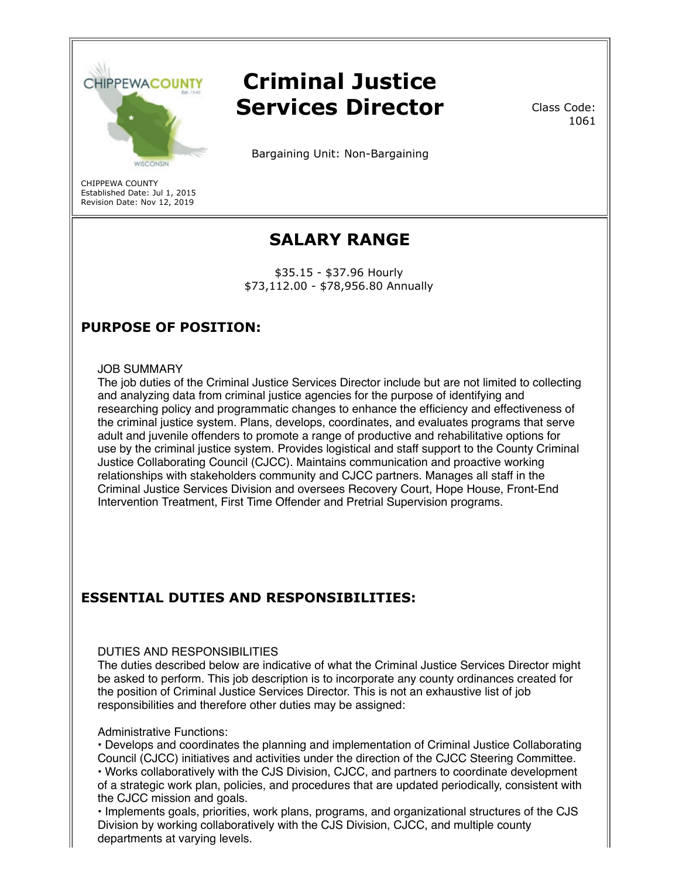

# **Criminal Justice Services Director**

Bargaining Unit: Non-Bargaining

CHIPPEWA COUNTY Established Date: Jul 1, 2015 Revision Date: Nov 12, 2019

## **SALARY RANGE**

\$35.15 - \$37.96 Hourly \$73,112.00 - \$78,956.80 Annually

## **PURPOSE OF POSITION:**

#### JOB SUMMARY

The job duties of the Criminal Justice Services Director include but are not limited to collecting and analyzing data from criminal justice agencies for the purpose of identifying and researching policy and programmatic changes to enhance the efficiency and effectiveness of the criminal justice system. Plans, develops, coordinates, and evaluates programs that serve adult and juvenile offenders to promote a range of productive and rehabilitative options for use by the criminal justice system. Provides logistical and staff support to the County Criminal Justice Collaborating Council (CJCC). Maintains communication and proactive working relationships with stakeholders community and CJCC partners. Manages all staff in the Criminal Justice Services Division and oversees Recovery Court, Hope House, Front-End Intervention Treatment, First Time Offender and Pretrial Supervision programs.

## **ESSENTIAL DUTIES AND RESPONSIBILITIES:**

#### DUTIES AND RESPONSIBILITIES

The duties described below are indicative of what the Criminal Justice Services Director might be asked to perform. This job description is to incorporate any county ordinances created for the position of Criminal Justice Services Director. This is not an exhaustive list of job responsibilities and therefore other duties may be assigned:

#### Administrative Functions:

• Develops and coordinates the planning and implementation of Criminal Justice Collaborating Council (CJCC) initiatives and activities under the direction of the CJCC Steering Committee. • Works collaboratively with the CJS Division, CJCC, and partners to coordinate development of a strategic work plan, policies, and procedures that are updated periodically, consistent with the CJCC mission and goals.

• Implements goals, priorities, work plans, programs, and organizational structures of the CJS Division by working collaboratively with the CJS Division, CJCC, and multiple county departments at varying levels.

Class Code: 1061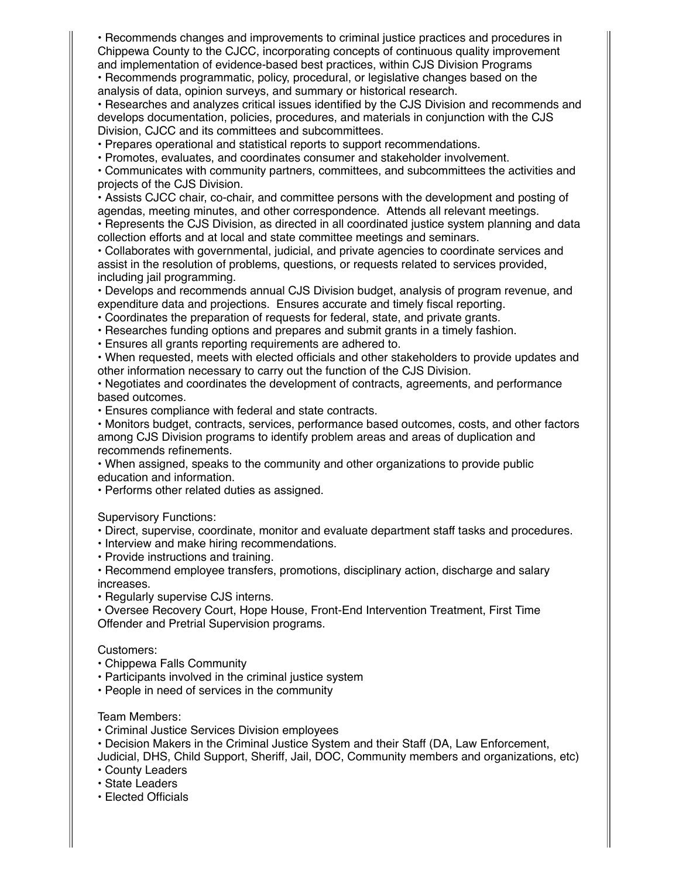• Recommends changes and improvements to criminal justice practices and procedures in Chippewa County to the CJCC, incorporating concepts of continuous quality improvement and implementation of evidence-based best practices, within CJS Division Programs

• Recommends programmatic, policy, procedural, or legislative changes based on the analysis of data, opinion surveys, and summary or historical research.

• Researches and analyzes critical issues identified by the CJS Division and recommends and develops documentation, policies, procedures, and materials in conjunction with the CJS Division, CJCC and its committees and subcommittees.

• Prepares operational and statistical reports to support recommendations.

• Promotes, evaluates, and coordinates consumer and stakeholder involvement.

• Communicates with community partners, committees, and subcommittees the activities and projects of the CJS Division.

• Assists CJCC chair, co-chair, and committee persons with the development and posting of agendas, meeting minutes, and other correspondence. Attends all relevant meetings.

• Represents the CJS Division, as directed in all coordinated justice system planning and data collection efforts and at local and state committee meetings and seminars.

• Collaborates with governmental, judicial, and private agencies to coordinate services and assist in the resolution of problems, questions, or requests related to services provided, including jail programming.

• Develops and recommends annual CJS Division budget, analysis of program revenue, and expenditure data and projections. Ensures accurate and timely fiscal reporting.

• Coordinates the preparation of requests for federal, state, and private grants.

• Researches funding options and prepares and submit grants in a timely fashion.

• Ensures all grants reporting requirements are adhered to.

• When requested, meets with elected officials and other stakeholders to provide updates and other information necessary to carry out the function of the CJS Division.

• Negotiates and coordinates the development of contracts, agreements, and performance based outcomes.

• Ensures compliance with federal and state contracts.

• Monitors budget, contracts, services, performance based outcomes, costs, and other factors among CJS Division programs to identify problem areas and areas of duplication and recommends refinements.

• When assigned, speaks to the community and other organizations to provide public education and information.

• Performs other related duties as assigned.

Supervisory Functions:

• Direct, supervise, coordinate, monitor and evaluate department staff tasks and procedures.

• Interview and make hiring recommendations.

• Provide instructions and training.

• Recommend employee transfers, promotions, disciplinary action, discharge and salary increases.

• Regularly supervise CJS interns.

• Oversee Recovery Court, Hope House, Front-End Intervention Treatment, First Time Offender and Pretrial Supervision programs.

#### Customers:

- Chippewa Falls Community
- Participants involved in the criminal justice system
- People in need of services in the community

#### Team Members:

- Criminal Justice Services Division employees
- Decision Makers in the Criminal Justice System and their Staff (DA, Law Enforcement,

Judicial, DHS, Child Support, Sheriff, Jail, DOC, Community members and organizations, etc) • County Leaders

- State Leaders
- Elected Officials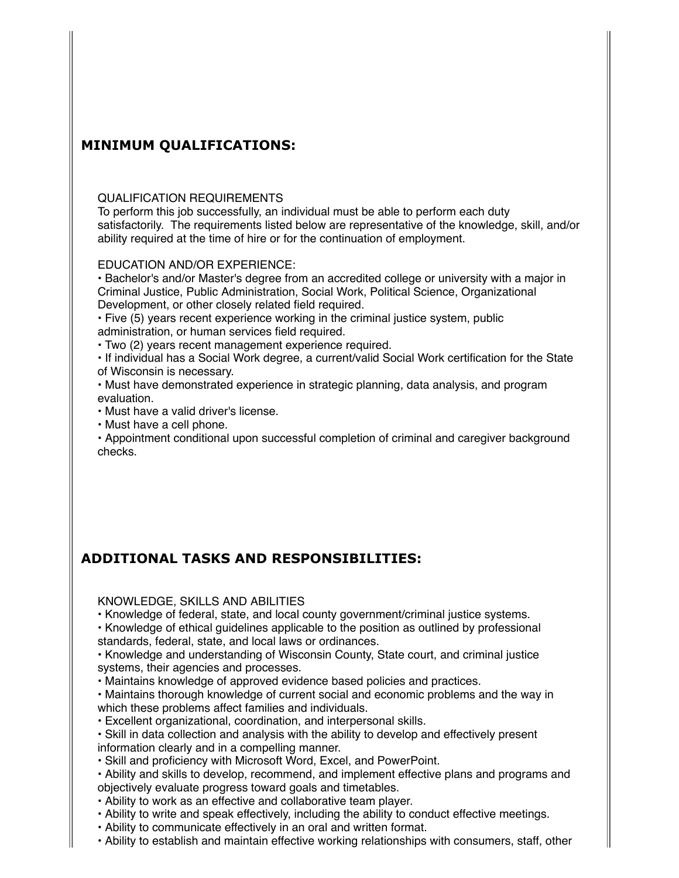### **MINIMUM QUALIFICATIONS:**

#### QUALIFICATION REQUIREMENTS

To perform this job successfully, an individual must be able to perform each duty satisfactorily. The requirements listed below are representative of the knowledge, skill, and/or ability required at the time of hire or for the continuation of employment.

#### EDUCATION AND/OR EXPERIENCE:

• Bachelor's and/or Master's degree from an accredited college or university with a major in Criminal Justice, Public Administration, Social Work, Political Science, Organizational Development, or other closely related field required.

• Five (5) years recent experience working in the criminal justice system, public administration, or human services field required.

• Two (2) years recent management experience required.

• If individual has a Social Work degree, a current/valid Social Work certification for the State of Wisconsin is necessary.

• Must have demonstrated experience in strategic planning, data analysis, and program evaluation.

• Must have a valid driver's license.

• Must have a cell phone.

• Appointment conditional upon successful completion of criminal and caregiver background checks.

## **ADDITIONAL TASKS AND RESPONSIBILITIES:**

KNOWLEDGE, SKILLS AND ABILITIES

• Knowledge of federal, state, and local county government/criminal justice systems.

• Knowledge of ethical guidelines applicable to the position as outlined by professional standards, federal, state, and local laws or ordinances.

• Knowledge and understanding of Wisconsin County, State court, and criminal justice systems, their agencies and processes.

• Maintains knowledge of approved evidence based policies and practices.

• Maintains thorough knowledge of current social and economic problems and the way in which these problems affect families and individuals.

• Excellent organizational, coordination, and interpersonal skills.

• Skill in data collection and analysis with the ability to develop and effectively present information clearly and in a compelling manner.

• Skill and proficiency with Microsoft Word, Excel, and PowerPoint.

• Ability and skills to develop, recommend, and implement effective plans and programs and objectively evaluate progress toward goals and timetables.

• Ability to work as an effective and collaborative team player.

• Ability to write and speak effectively, including the ability to conduct effective meetings.

• Ability to communicate effectively in an oral and written format.

• Ability to establish and maintain effective working relationships with consumers, staff, other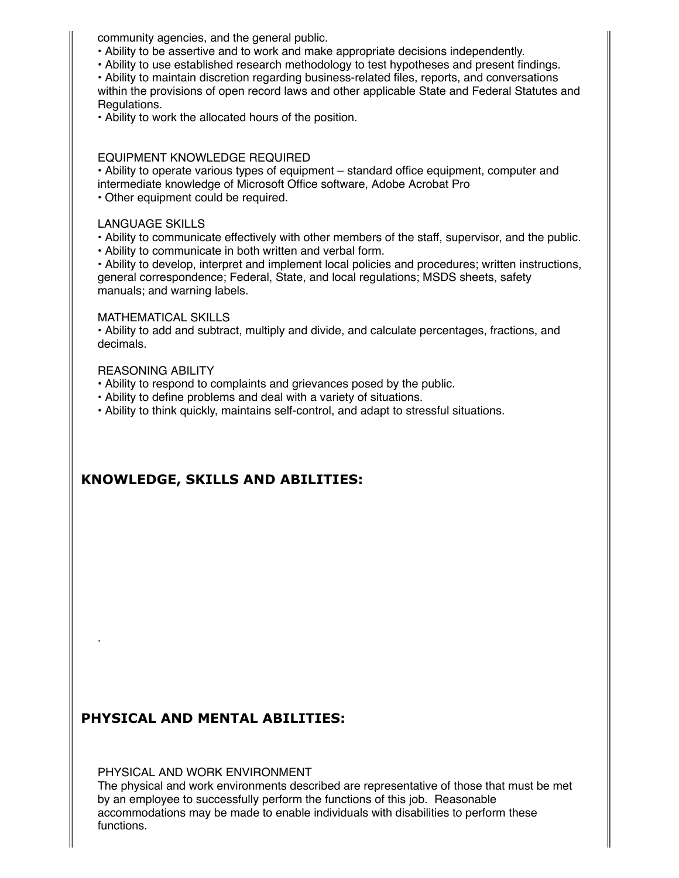community agencies, and the general public.

- Ability to be assertive and to work and make appropriate decisions independently.
- Ability to use established research methodology to test hypotheses and present findings.

• Ability to maintain discretion regarding business-related files, reports, and conversations within the provisions of open record laws and other applicable State and Federal Statutes and Regulations.

• Ability to work the allocated hours of the position.

#### EQUIPMENT KNOWLEDGE REQUIRED

• Ability to operate various types of equipment – standard office equipment, computer and intermediate knowledge of Microsoft Office software, Adobe Acrobat Pro

• Other equipment could be required.

#### LANGUAGE SKILLS

• Ability to communicate effectively with other members of the staff, supervisor, and the public.

• Ability to communicate in both written and verbal form.

• Ability to develop, interpret and implement local policies and procedures; written instructions, general correspondence; Federal, State, and local regulations; MSDS sheets, safety manuals; and warning labels.

#### MATHEMATICAL SKILLS

• Ability to add and subtract, multiply and divide, and calculate percentages, fractions, and decimals.

#### REASONING ABILITY

.

- Ability to respond to complaints and grievances posed by the public.
- Ability to define problems and deal with a variety of situations.

• Ability to think quickly, maintains self-control, and adapt to stressful situations.

## **KNOWLEDGE, SKILLS AND ABILITIES:**

## **PHYSICAL AND MENTAL ABILITIES:**

PHYSICAL AND WORK ENVIRONMENT

The physical and work environments described are representative of those that must be met by an employee to successfully perform the functions of this job. Reasonable accommodations may be made to enable individuals with disabilities to perform these functions.